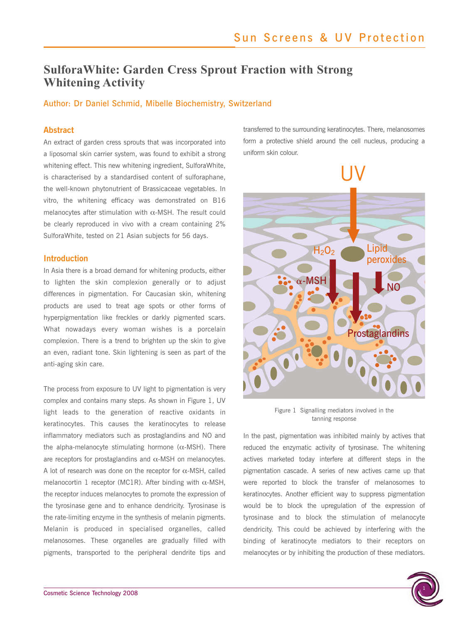# **SulforaWhite: Garden Cress Sprout Fraction with Strong Whitening Activity**

### Author: Dr Daniel Schmid, Mibelle Biochemistry, Switzerland

### **Abstract**

An extract of garden cress sprouts that was incorporated into a liposomal skin carrier system, was found to exhibit a strong whitening effect. This new whitening ingredient, SulforaWhite, is characterised by a standardised content of sulforaphane, the well-known phytonutrient of Brassicaceae vegetables. In vitro, the whitening efficacy was demonstrated on B16 melanocytes after stimulation with  $\alpha$ -MSH. The result could be clearly reproduced in vivo with a cream containing 2% SulforaWhite, tested on 21 Asian subjects for 56 days.

### **Introduction**

In Asia there is a broad demand for whitening products, either to lighten the skin complexion generally or to adjust differences in pigmentation. For Caucasian skin, whitening products are used to treat age spots or other forms of hyperpigmentation like freckles or darkly pigmented scars. What nowadays every woman wishes is a porcelain complexion. There is a trend to brighten up the skin to give an even, radiant tone. Skin lightening is seen as part of the anti-aging skin care.

The process from exposure to UV light to pigmentation is very complex and contains many steps. As shown in Figure 1, UV light leads to the generation of reactive oxidants in keratinocytes. This causes the keratinocytes to release inflammatory mediators such as prostaglandins and NO and the alpha-melanocyte stimulating hormone  $(α$ -MSH). There are receptors for prostaglandins and α-MSH on melanocytes. A lot of research was done on the receptor for  $\alpha$ -MSH, called melanocortin 1 receptor (MC1R). After binding with  $α$ -MSH, the receptor induces melanocytes to promote the expression of the tyrosinase gene and to enhance dendricity. Tyrosinase is the rate-limiting enzyme in the synthesis of melanin pigments. Melanin is produced in specialised organelles, called melanosomes. These organelles are gradually filled with pigments, transported to the peripheral dendrite tips and

transferred to the surrounding keratinocytes. There, melanosomes form a protective shield around the cell nucleus, producing a uniform skin colour.



Figure 1 Signalling mediators involved in the tanning response

In the past, pigmentation was inhibited mainly by actives that reduced the enzymatic activity of tyrosinase. The whitening actives marketed today interfere at different steps in the pigmentation cascade. A series of new actives came up that were reported to block the transfer of melanosomes to keratinocytes. Another efficient way to suppress pigmentation would be to block the upregulation of the expression of tyrosinase and to block the stimulation of melanocyte dendricity. This could be achieved by interfering with the binding of keratinocyte mediators to their receptors on melanocytes or by inhibiting the production of these mediators.

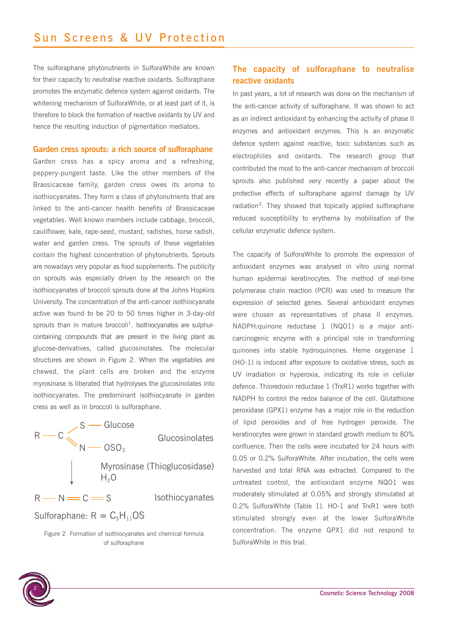The sulforaphane phytonutrients in SulforaWhite are known for their capacity to neutralise reactive oxidants. Sulforaphane promotes the enzymatic defence system against oxidants. The whitening mechanism of SulforaWhite, or at least part of it, is therefore to block the formation of reactive oxidants by UV and hence the resulting induction of pigmentation mediators.

### **Garden cress sprouts: a rich source of sulforaphane**

Garden cress has a spicy aroma and a refreshing, peppery-pungent taste. Like the other members of the Brassicaceae family, garden cress owes its aroma to isothiocyanates. They form a class of phytonutrients that are linked to the anti-cancer health benefits of Brassicaceae vegetables. Well known members include cabbage, broccoli, cauliflower, kale, rape-seed, mustard, radishes, horse radish, water and garden cress. The sprouts of these vegetables contain the highest concentration of phytonutrients. Sprouts are nowadays very popular as food supplements. The publicity on sprouts was especially driven by the research on the isothiocyanates of broccoli sprouts done at the Johns Hopkins University. The concentration of the anti-cancer isothiocyanate active was found to be 20 to 50 times higher in 3-day-old sprouts than in mature broccoli<sup>1</sup>. Isothiocyanates are sulphurcontaining compounds that are present in the living plant as glucose-derivatives, called glucosinolates. The molecular structures are shown in Figure 2. When the vegetables are chewed, the plant cells are broken and the enzyme myrosinase is liberated that hydrolyses the glucosinolates into isothiocyanates. The predominant isothiocyanate in garden cress as well as in broccoli is sulforaphane.

| $R \rightarrow C \simeq S \rightarrow$ Glucose<br>N $\sim$ 0SO <sub>3</sub> | Glucosinolates               |
|-----------------------------------------------------------------------------|------------------------------|
| $H_2O$                                                                      | Myrosinase (Thioglucosidase) |
| $R - N = C = S$                                                             | <b>Isothiocyanates</b>       |
| Sulforaphane: $R = C_5H_{11}OS$                                             |                              |

Figure 2 Formation of isothiocyanates and chemical formula of sulforaphane

## **The capacity of sulforaphane to neutralise reactive oxidants**

In past years, a lot of research was done on the mechanism of the anti-cancer activity of sulforaphane. It was shown to act as an indirect antioxidant by enhancing the activity of phase II enzymes and antioxidant enzymes. This is an enzymatic defence system against reactive, toxic substances such as electrophiles and oxidants. The research group that contributed the most to the anti-cancer mechanism of broccoli sprouts also published very recently a paper about the protective effects of sulforaphane against damage by UV radiation<sup>2</sup>. They showed that topically applied sulforaphane reduced susceptibility to erythema by mobilisation of the cellular enzymatic defence system.

The capacity of SulforaWhite to promote the expression of antioxidant enzymes was analysed in vitro using normal human epidermal keratinocytes. The method of real-time polymerase chain reaction (PCR) was used to measure the expression of selected genes. Several antioxidant enzymes were chosen as representatives of phase II enzymes. NADPH:quinone reductase 1 (NQO1) is a major anticarcinogenic enzyme with a principal role in transforming quinones into stable hydroquinones. Heme oxygenase 1 (HO-1) is induced after exposure to oxidative stress, such as UV irradiation or hyperoxia, indicating its role in cellular defence. Thioredoxin reductase 1 (TrxR1) works together with NADPH to control the redox balance of the cell. Glutathione peroxidase (GPX1) enzyme has a major role in the reduction of lipid peroxides and of free hydrogen peroxide. The keratinocytes were grown in standard growth medium to 80% confluence. Then the cells were incubated for 24 hours with 0.05 or 0.2% SulforaWhite. After incubation, the cells were harvested and total RNA was extracted. Compared to the untreated control, the antioxidant enzyme NQO1 was moderately stimulated at 0.05% and strongly stimulated at 0.2% SulforaWhite (Table 1). HO-1 and TrxR1 were both stimulated strongly even at the lower SulforaWhite concentration. The enzyme GPX1 did not respond to SulforaWhite in this trial.

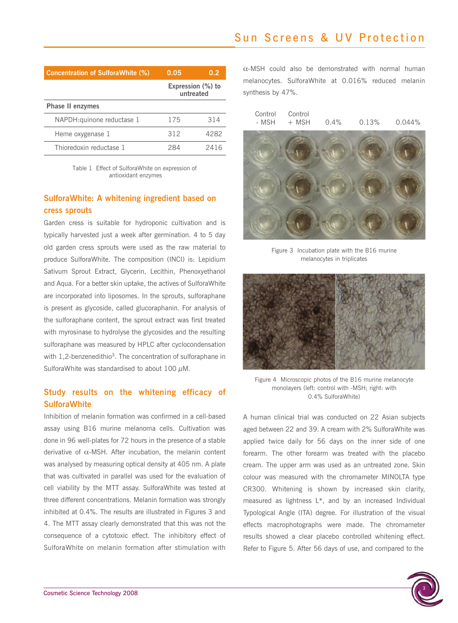| <b>Concentration of SulforaWhite (%)</b> | 0.05                           | 0.2  |
|------------------------------------------|--------------------------------|------|
|                                          | Expression (%) to<br>untreated |      |
| <b>Phase II enzymes</b>                  |                                |      |
| NAPDH: quinone reductase 1               | 175                            | 314  |
| Heme oxygenase 1                         | 312                            | 4282 |
| Thioredoxin reductase 1                  | 284                            | 2416 |

Table 1 Effect of SulforaWhite on expression of antioxidant enzymes

# **SulforaWhite: A whitening ingredient based on cress sprouts**

Garden cress is suitable for hydroponic cultivation and is typically harvested just a week after germination. 4 to 5 day old garden cress sprouts were used as the raw material to produce SulforaWhite. The composition (INCI) is: Lepidium Sativum Sprout Extract, Glycerin, Lecithin, Phenoxyethanol and Aqua. For a better skin uptake, the actives of SulforaWhite are incorporated into liposomes. In the sprouts, sulforaphane is present as glycoside, called glucoraphanin. For analysis of the sulforaphane content, the sprout extract was first treated with myrosinase to hydrolyse the glycosides and the resulting sulforaphane was measured by HPLC after cyclocondensation with 1,2-benzenedithio<sup>3</sup>. The concentration of sulforaphane in SulforaWhite was standardised to about  $100 \mu$ M.

## **Study results on the whitening efficacy of SulforaWhite**

Inhibition of melanin formation was confirmed in a cell-based assay using B16 murine melanoma cells. Cultivation was done in 96 well-plates for 72 hours in the presence of a stable derivative of  $\alpha$ -MSH. After incubation, the melanin content was analysed by measuring optical density at 405 nm. A plate that was cultivated in parallel was used for the evaluation of cell viability by the MTT assay. SulforaWhite was tested at three different concentrations. Melanin formation was strongly inhibited at 0.4%. The results are illustrated in Figures 3 and 4. The MTT assay clearly demonstrated that this was not the consequence of a cytotoxic effect. The inhibitory effect of SulforaWhite on melanin formation after stimulation with

 $\alpha$ -MSH could also be demonstrated with normal human melanocytes. SulforaWhite at 0.016% reduced melanin synthesis by 47%.



Figure 3 Incubation plate with the B16 murine melanocytes in triplicates



Figure 4 Microscopic photos of the B16 murine melanocyte monolayers (left: control with -MSH; right: with 0.4% SulforaWhite)

A human clinical trial was conducted on 22 Asian subjects aged between 22 and 39. A cream with 2% SulforaWhite was applied twice daily for 56 days on the inner side of one forearm. The other forearm was treated with the placebo cream. The upper arm was used as an untreated zone. Skin colour was measured with the chromameter MINOLTA type CR300. Whitening is shown by increased skin clarity, measured as lightness L\*, and by an increased Individual Typological Angle (ITA) degree. For illustration of the visual effects macrophotographs were made. The chromameter results showed a clear placebo controlled whitening effect. Refer to Figure 5. After 56 days of use, and compared to the